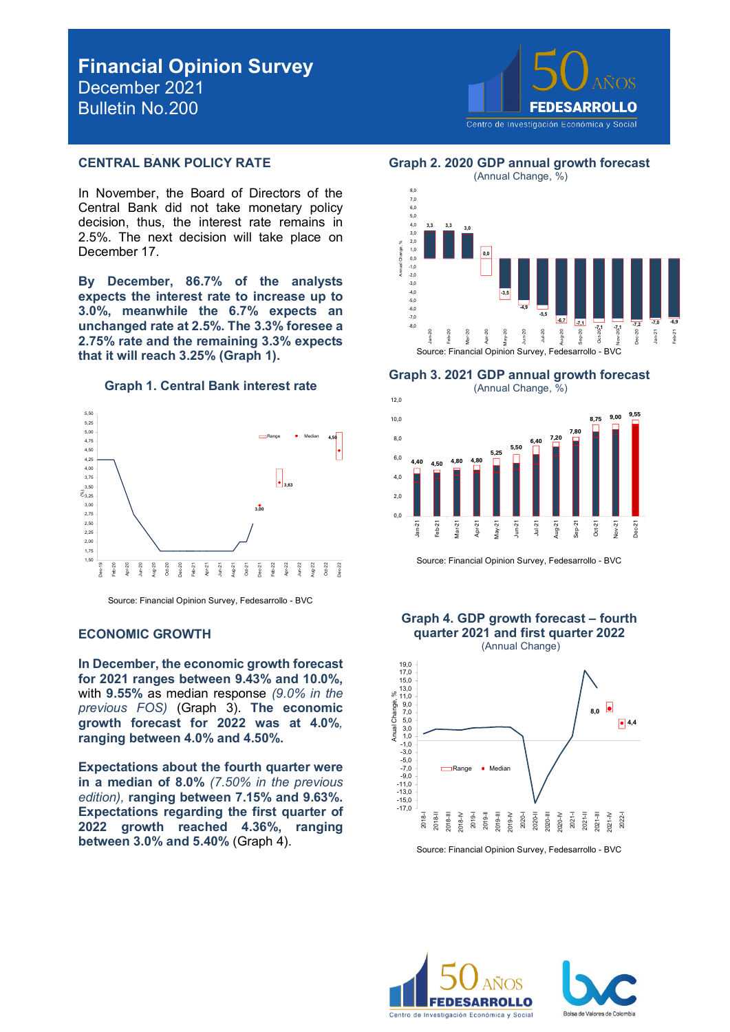# **Financial Opinion Survey** December 2021 Bulletin No.200



#### **CENTRAL BANK POLICY RATE**

In November, the Board of Directors of the Central Bank did not take monetary policy decision, thus, the interest rate remains in 2.5%. The next decision will take place on December 17.

**By December, 86.7% of the analysts expects the interest rate to increase up to 3.0%, meanwhile the 6.7% expects an unchanged rate at 2.5%. The 3.3% foresee a 2.75% rate and the remaining 3.3% expects that it will reach 3.25% (Graph 1).** 





Source: Financial Opinion Survey, Fedesarrollo - BVC

#### **ECONOMIC GROWTH**

**In December, the economic growth forecast for 2021 ranges between 9.43% and 10.0%,**  with **9.55%** as median response *(9.0% in the previous FOS)* (Graph 3). **The economic growth forecast for 2022 was at 4.0%***,*  **ranging between 4.0% and 4.50%.**

**Expectations about the fourth quarter were in a median of 8.0%** *(7.50% in the previous edition),* **ranging between 7.15% and 9.63%. Expectations regarding the first quarter of 2022 growth reached 4.36%, ranging between 3.0% and 5.40%** (Graph 4).

**Graph 2. 2020 GDP annual growth forecast**



**Graph 3. 2021 GDP annual growth forecast** 



Source: Financial Opinion Survey, Fedesarrollo - BVC

**Graph 4. GDP growth forecast – fourth**



Source: Financial Opinion Survey, Fedesarrollo - BVC



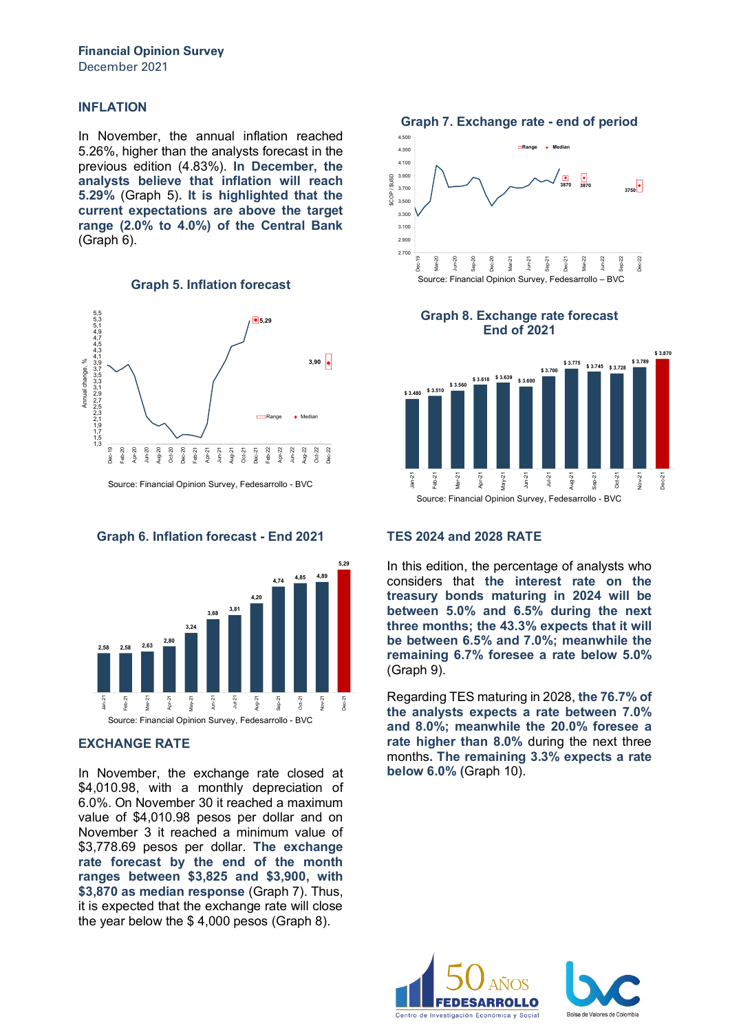#### **INFLATION**

In November, the annual inflation reached 5.26%, higher than the analysts forecast in the previous edition (4.83%). **In December, the analysts believe that inflation will reach 5.29%** (Graph 5)**. It is highlighted that the current expectations are above the target range (2.0% to 4.0%) of the Central Bank**  (Graph 6).





Source: Financial Opinion Survey, Fedesarrollo - BVC

**Graph 6. Inflation forecast - End 2021**



#### **EXCHANGE RATE**

In November, the exchange rate closed at \$4,010.98, with a monthly depreciation of 6.0%. On November 30 it reached a maximum value of \$4,010.98 pesos per dollar and on November 3 it reached a minimum value of \$3,778.69 pesos per dollar. **The exchange rate forecast by the end of the month ranges between \$3,825 and \$3,900, with \$3,870 as median response** (Graph 7). Thus, it is expected that the exchange rate will close the year below the \$ 4,000 pesos (Graph 8).

**Graph 7. Exchange rate - end of period**



**Graph 8. Exchange rate forecast End of 2021**



#### **TES 2024 and 2028 RATE**

In this edition, the percentage of analysts who considers that **the interest rate on the treasury bonds maturing in 2024 will be between 5.0% and 6.5% during the next three months; the 43.3% expects that it will be between 6.5% and 7.0%; meanwhile the remaining 6.7% foresee a rate below 5.0%**  (Graph 9).

Regarding TES maturing in 2028, **the 76.7% of the analysts expects a rate between 7.0% and 8.0%; meanwhile the 20.0% foresee a rate higher than 8.0%** during the next three months**. The remaining 3.3% expects a rate below 6.0% (**Graph 10).



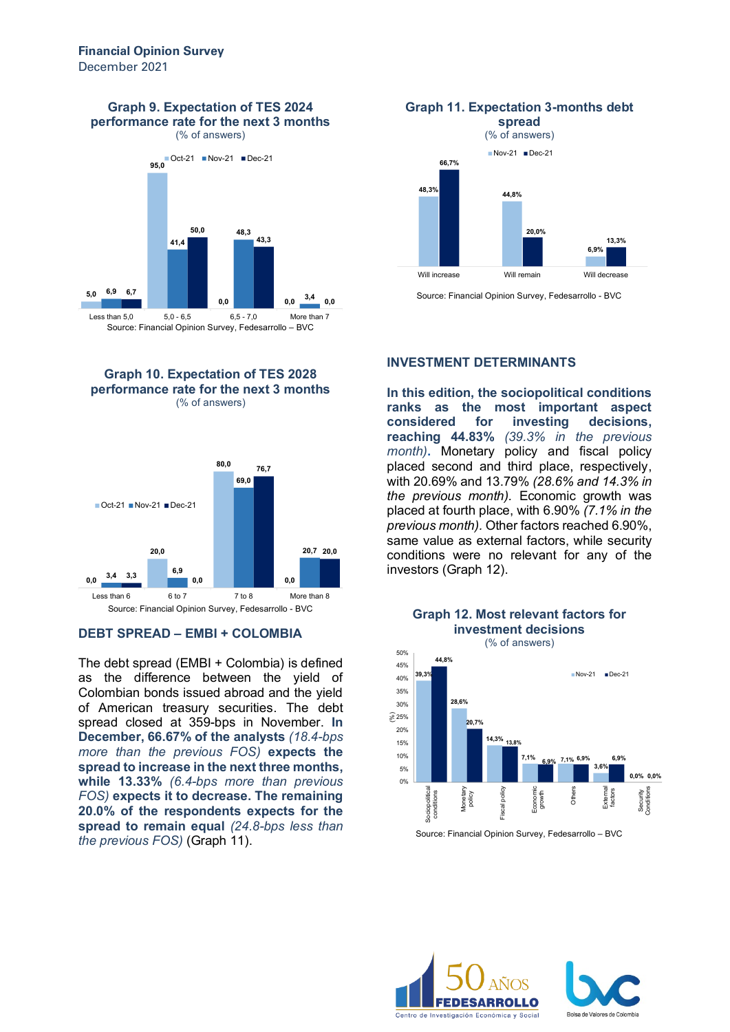**Graph 9. Expectation of TES 2024 performance rate for the next 3 months**

(% of answers)







#### **DEBT SPREAD – EMBI + COLOMBIA**

The debt spread (EMBI + Colombia) is defined as the difference between the yield of Colombian bonds issued abroad and the yield of American treasury securities. The debt spread closed at 359-bps in November. **In December, 66.67% of the analysts** *(18.4-bps more than the previous FOS)* **expects the spread to increase in the next three months, while 13.33%** *(6.4-bps more than previous FOS)* **expects it to decrease. The remaining 20.0% of the respondents expects for the spread to remain equal** *(24.8-bps less than the previous FOS)* (Graph 11).



Source: Financial Opinion Survey, Fedesarrollo - BVC

#### **INVESTMENT DETERMINANTS**

**In this edition, the sociopolitical conditions ranks as the most important aspect considered for investing decisions, reaching 44.83%** *(39.3% in the previous month)***.** Monetary policy and fiscal policy placed second and third place, respectively, with 20.69% and 13.79% *(28.6% and 14.3% in the previous month).* Economic growth was placed at fourth place, with 6.90% *(7.1% in the previous month).* Other factors reached 6.90%, same value as external factors, while security conditions were no relevant for any of the investors (Graph 12).



**Graph 12. Most relevant factors for**

Source: Financial Opinion Survey, Fedesarrollo – BVC



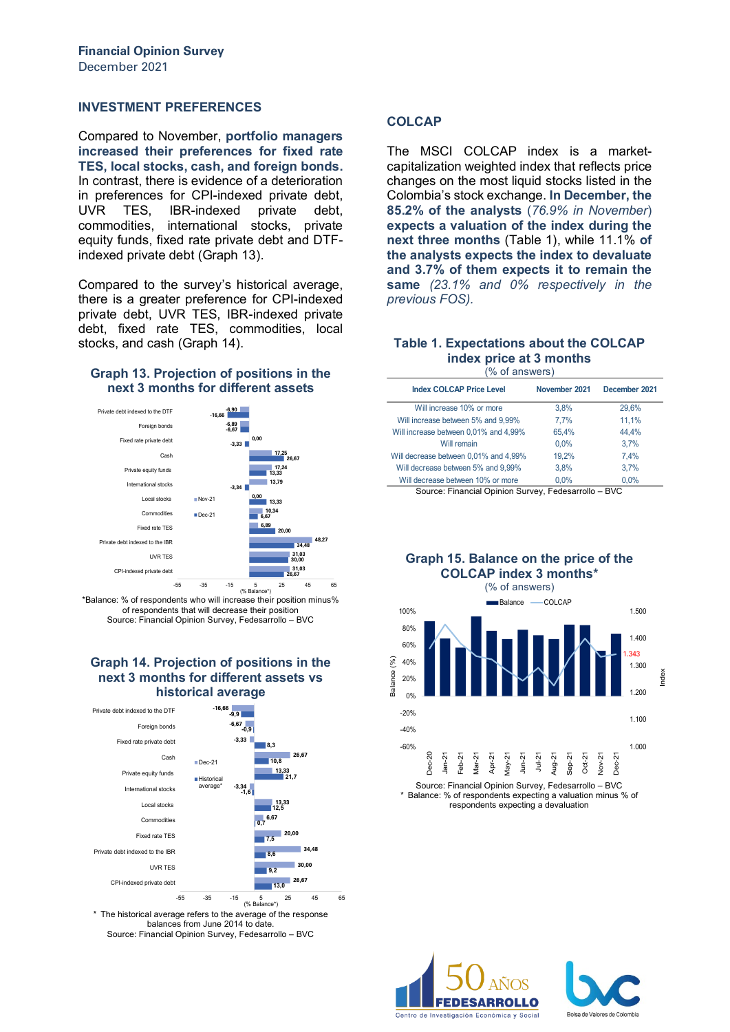#### **INVESTMENT PREFERENCES**

Compared to November, **portfolio managers increased their preferences for fixed rate TES, local stocks, cash, and foreign bonds.**  In contrast, there is evidence of a deterioration in preferences for CPI-indexed private debt, UVR TES, IBR-indexed private debt, commodities, international stocks, private equity funds, fixed rate private debt and DTFindexed private debt (Graph 13).

Compared to the survey's historical average, there is a greater preference for CPI-indexed private debt, UVR TES, IBR-indexed private debt, fixed rate TES, commodities, local stocks, and cash (Graph 14).

#### **Graph 13. Projection of positions in the next 3 months for different assets**



\*Balance: % of respondents who will increase their position minus% of respondents that will decrease their position Source: Financial Opinion Survey, Fedesarrollo – BVC

#### **Graph 14. Projection of positions in the next 3 months for different assets vs historical average**



The historical average refers to the average of the response balances from June 2014 to date. Source: Financial Opinion Survey, Fedesarrollo – BVC

### **COLCAP**

The MSCI COLCAP index is a marketcapitalization weighted index that reflects price changes on the most liquid stocks listed in the Colombia's stock exchange. **In December, the 85.2% of the analysts** (*76.9% in November*) **expects a valuation of the index during the next three months** (Table 1), while 11.1% **of the analysts expects the index to devaluate and 3.7% of them expects it to remain the same** *(23.1% and 0% respectively in the previous FOS).*

#### **Table 1. Expectations about the COLCAP index price at 3 months** (% of answers)

| <b>Index COLCAP Price Level</b>       | November 2021 | December 2021 |
|---------------------------------------|---------------|---------------|
| Will increase 10% or more             | 3.8%          | 29,6%         |
| Will increase between 5% and 9,99%    | 7.7%          | 11,1%         |
| Will increase between 0,01% and 4,99% | 65.4%         | 44.4%         |
| Will remain                           | 0.0%          | 3.7%          |
| Will decrease between 0,01% and 4,99% | 19.2%         | 7.4%          |
| Will decrease between 5% and 9,99%    | 3.8%          | 3.7%          |
| Will decrease between 10% or more     | 0.0%          | 0.0%          |
|                                       |               |               |

Source: Financial Opinion Survey, Fedesarrollo – BVC

**Graph 15. Balance on the price of the COLCAP index 3 months\***



Balance: % of respondents expecting a valuation minus % of respondents expecting a devaluation



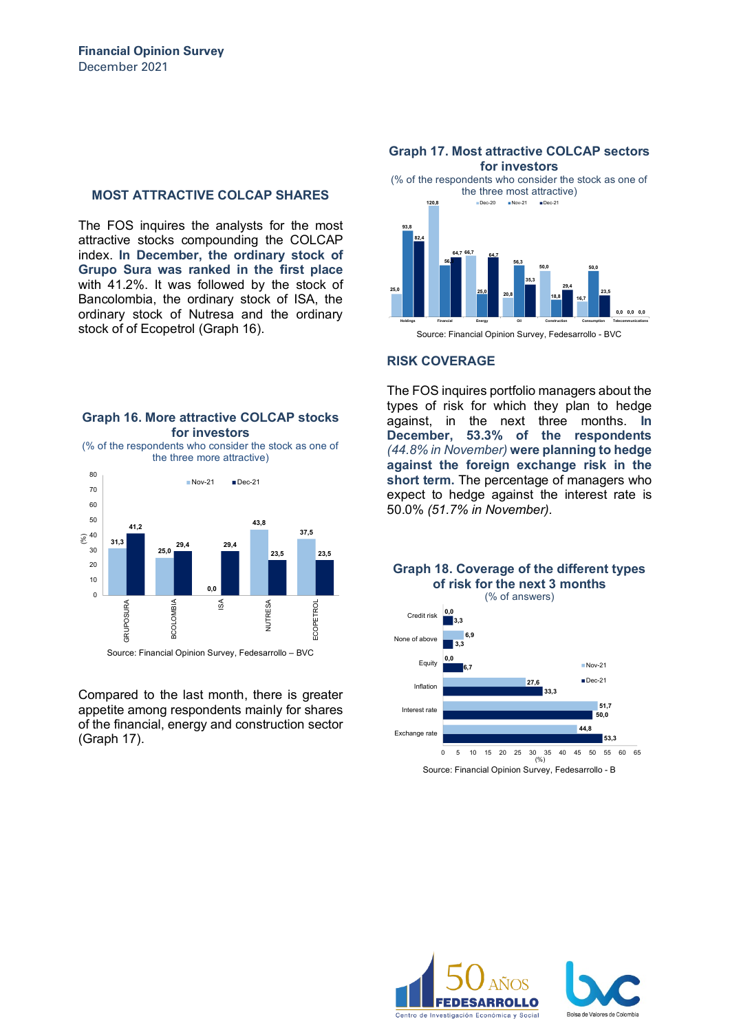#### **MOST ATTRACTIVE COLCAP SHARES**

The FOS inquires the analysts for the most attractive stocks compounding the COLCAP index. **In December, the ordinary stock of Grupo Sura was ranked in the first place** with 41.2%. It was followed by the stock of Bancolombia, the ordinary stock of ISA, the ordinary stock of Nutresa and the ordinary stock of of Ecopetrol (Graph 16).

#### **Graph 16. More attractive COLCAP stocks for investors**

(% of the respondents who consider the stock as one of the three more attractive)



Compared to the last month, there is greater appetite among respondents mainly for shares of the financial, energy and construction sector (Graph 17).

#### **for investors** (% of the respondents who consider the stock as one of the three most attractive) **25,0 120,8 66,7 20,8 50,0 16,7 0,0 0,0 0,0 93,8 56,3 25,0 56,3 18,8 50,0 82,4 64,7 64,7 35,3 29,4 23,5 Holdings Financial Energy Oil Construction Consumption Telecommunications** Dec-20 Nov-21 Dec-21

**Graph 17. Most attractive COLCAP sectors** 

Source: Financial Opinion Survey, Fedesarrollo - BVC

#### **RISK COVERAGE**

The FOS inquires portfolio managers about the types of risk for which they plan to hedge against, in the next three months. **In December, 53.3% of the respondents** *(44.8% in November)* **were planning to hedge against the foreign exchange risk in the short term.** The percentage of managers who expect to hedge against the interest rate is 50.0% *(51.7% in November).*

### **Graph 18. Coverage of the different types of risk for the next 3 months**